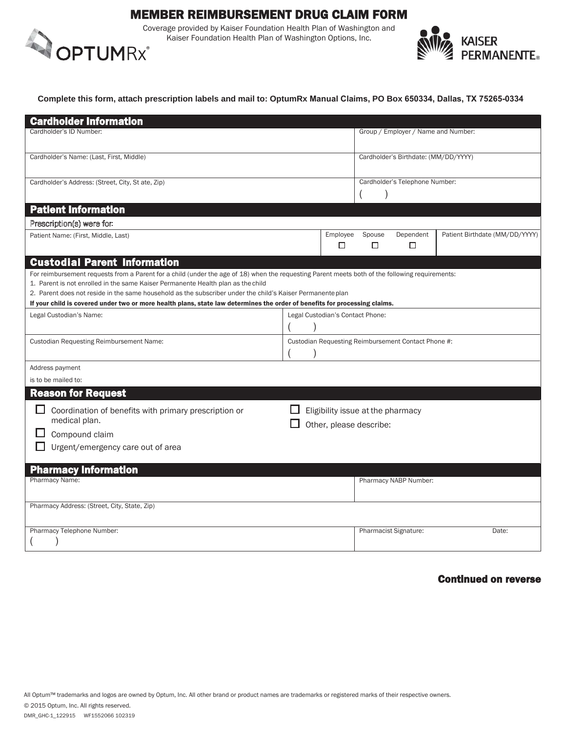# MEMBER REIMBURSEMENT DRUG CLAIM FORM

Coverage provided by Kaiser Foundation Health Plan of Washington and<br>Kaiser Foundation Health Plan of Washington Options, Inc.<br> **OPTUM**RX Kaiser Foundation Health Plan of Washington Options, Inc.



#### **Complete this form, attach prescription labels and mail to: OptumRx Manual Claims, PO Box 650334, Dallas, TX 75265-0334**

| <b>Cardholder Information</b>                                                                                                                                                                                                                                                                                                                                                                                                                                                   |                                   |               |                                      |                                                     |                                |  |  |
|---------------------------------------------------------------------------------------------------------------------------------------------------------------------------------------------------------------------------------------------------------------------------------------------------------------------------------------------------------------------------------------------------------------------------------------------------------------------------------|-----------------------------------|---------------|--------------------------------------|-----------------------------------------------------|--------------------------------|--|--|
| Cardholder's ID Number                                                                                                                                                                                                                                                                                                                                                                                                                                                          |                                   |               | Group / Employer / Name and Number:  |                                                     |                                |  |  |
| Cardholder's Name: (Last, First, Middle)                                                                                                                                                                                                                                                                                                                                                                                                                                        |                                   |               | Cardholder's Birthdate: (MM/DD/YYYY) |                                                     |                                |  |  |
| Cardholder's Address: (Street, City, St ate, Zip)                                                                                                                                                                                                                                                                                                                                                                                                                               |                                   |               |                                      | Cardholder's Telephone Number:                      |                                |  |  |
| <b>Patient Information</b>                                                                                                                                                                                                                                                                                                                                                                                                                                                      |                                   |               |                                      |                                                     |                                |  |  |
| Prescription(s) were for.                                                                                                                                                                                                                                                                                                                                                                                                                                                       |                                   |               |                                      |                                                     |                                |  |  |
| Patient Name: (First, Middle, Last)                                                                                                                                                                                                                                                                                                                                                                                                                                             |                                   | Employee<br>□ | Spouse<br>□                          | Dependent<br>□                                      | Patient Birthdate (MM/DD/YYYY) |  |  |
| <b>Custodial Parent Information</b>                                                                                                                                                                                                                                                                                                                                                                                                                                             |                                   |               |                                      |                                                     |                                |  |  |
| For reimbursement requests from a Parent for a child (under the age of 18) when the requesting Parent meets both of the following requirements:<br>1. Parent is not enrolled in the same Kaiser Permanente Health plan as the child<br>2. Parent does not reside in the same household as the subscriber under the child's Kaiser Permanente plan<br>If your child is covered under two or more health plans, state law determines the order of benefits for processing claims. |                                   |               |                                      |                                                     |                                |  |  |
| Legal Custodian's Name:<br>Legal Custodian's Contact Phone:                                                                                                                                                                                                                                                                                                                                                                                                                     |                                   |               |                                      |                                                     |                                |  |  |
|                                                                                                                                                                                                                                                                                                                                                                                                                                                                                 |                                   |               |                                      |                                                     |                                |  |  |
| Custodian Requesting Reimbursement Name:                                                                                                                                                                                                                                                                                                                                                                                                                                        |                                   |               |                                      | Custodian Requesting Reimbursement Contact Phone #: |                                |  |  |
|                                                                                                                                                                                                                                                                                                                                                                                                                                                                                 |                                   |               |                                      |                                                     |                                |  |  |
| Address payment                                                                                                                                                                                                                                                                                                                                                                                                                                                                 |                                   |               |                                      |                                                     |                                |  |  |
| is to be mailed to:                                                                                                                                                                                                                                                                                                                                                                                                                                                             |                                   |               |                                      |                                                     |                                |  |  |
| <b>Reason for Request</b>                                                                                                                                                                                                                                                                                                                                                                                                                                                       |                                   |               |                                      |                                                     |                                |  |  |
| Coordination of benefits with primary prescription or                                                                                                                                                                                                                                                                                                                                                                                                                           | Eligibility issue at the pharmacy |               |                                      |                                                     |                                |  |  |
| medical plan.                                                                                                                                                                                                                                                                                                                                                                                                                                                                   | Other, please describe:           |               |                                      |                                                     |                                |  |  |
| Compound claim                                                                                                                                                                                                                                                                                                                                                                                                                                                                  |                                   |               |                                      |                                                     |                                |  |  |
| Urgent/emergency care out of area                                                                                                                                                                                                                                                                                                                                                                                                                                               |                                   |               |                                      |                                                     |                                |  |  |
|                                                                                                                                                                                                                                                                                                                                                                                                                                                                                 |                                   |               |                                      |                                                     |                                |  |  |
| <b>Pharmacy Information</b>                                                                                                                                                                                                                                                                                                                                                                                                                                                     |                                   |               |                                      |                                                     |                                |  |  |
| Pharmacy Name:                                                                                                                                                                                                                                                                                                                                                                                                                                                                  |                                   |               |                                      | Pharmacy NABP Number:                               |                                |  |  |
| Pharmacy Address: (Street, City, State, Zip)                                                                                                                                                                                                                                                                                                                                                                                                                                    |                                   |               |                                      |                                                     |                                |  |  |
| Pharmacy Telephone Number:                                                                                                                                                                                                                                                                                                                                                                                                                                                      |                                   |               |                                      | Pharmacist Signature:                               | Date:                          |  |  |

## Continued on reverse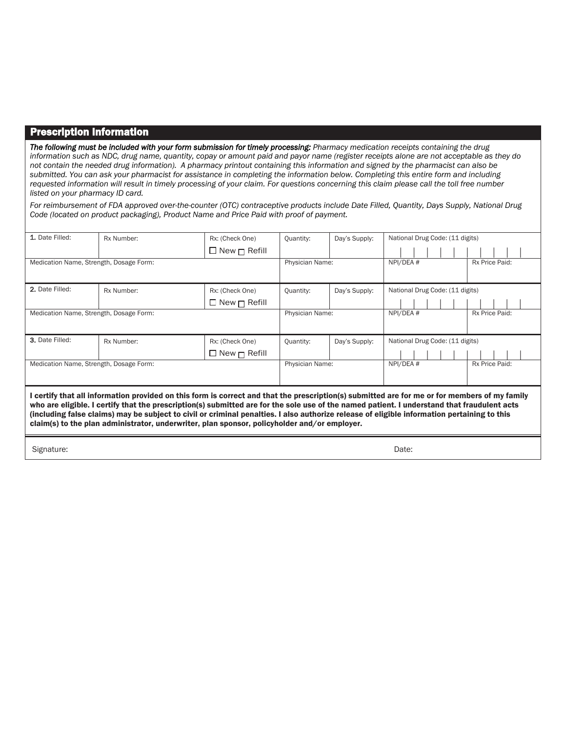## Prescription Information

*The following must be included with your form submission for timely processing: Pharmacy medication receipts containing the drug information such as NDC, drug name, quantity, copay or amount paid and payor name (register receipts alone are not acceptable as they do not contain the needed drug information). A pharmacy printout containing this information and signed by the pharmacist can also be submitted. You can ask your pharmacist for assistance in completing the information below. Completing this entire form and including requested information will result in timely processing of your claim. For questions concerning this claim please call the toll free number listed on your pharmacy ID card.* 

*For reimbursement of FDA approved over-the-counter (OTC) contraceptive products include Date Filled, Quantity, Days Supply, National Drug Code (located on product packaging), Product Name and Price Paid with proof of payment.* 

| 1. Date Filled:                                                                                                                                                                                                                                                                                                                                                                                                                                                                                                                           | Rx Number: | Rx: (Check One)          | <b>Quantity:</b>           | Day's Supply:               | National Drug Code: (11 digits) |  |  |  |  |  |
|-------------------------------------------------------------------------------------------------------------------------------------------------------------------------------------------------------------------------------------------------------------------------------------------------------------------------------------------------------------------------------------------------------------------------------------------------------------------------------------------------------------------------------------------|------------|--------------------------|----------------------------|-----------------------------|---------------------------------|--|--|--|--|--|
|                                                                                                                                                                                                                                                                                                                                                                                                                                                                                                                                           |            | $\Box$ New $\Box$ Refill |                            |                             |                                 |  |  |  |  |  |
| Medication Name, Strength, Dosage Form:                                                                                                                                                                                                                                                                                                                                                                                                                                                                                                   |            | Physician Name:          |                            | NPI/DEA #                   | Rx Price Paid:                  |  |  |  |  |  |
|                                                                                                                                                                                                                                                                                                                                                                                                                                                                                                                                           |            |                          |                            |                             |                                 |  |  |  |  |  |
| 2. Date Filled:                                                                                                                                                                                                                                                                                                                                                                                                                                                                                                                           | Rx Number: | Rx: (Check One)          | Quantity:                  | Day's Supply:               | National Drug Code: (11 digits) |  |  |  |  |  |
|                                                                                                                                                                                                                                                                                                                                                                                                                                                                                                                                           |            | $\Box$ New $\Box$ Refill |                            |                             |                                 |  |  |  |  |  |
| Medication Name, Strength, Dosage Form:                                                                                                                                                                                                                                                                                                                                                                                                                                                                                                   |            | Physician Name:          |                            | NPI/DEA #<br>Rx Price Paid: |                                 |  |  |  |  |  |
|                                                                                                                                                                                                                                                                                                                                                                                                                                                                                                                                           |            |                          |                            |                             |                                 |  |  |  |  |  |
| 3. Date Filled:                                                                                                                                                                                                                                                                                                                                                                                                                                                                                                                           | Rx Number: | Rx: (Check One)          | Day's Supply:<br>Quantity: |                             | National Drug Code: (11 digits) |  |  |  |  |  |
|                                                                                                                                                                                                                                                                                                                                                                                                                                                                                                                                           |            | $\Box$ New $\Box$ Refill |                            |                             |                                 |  |  |  |  |  |
| Medication Name, Strength, Dosage Form:                                                                                                                                                                                                                                                                                                                                                                                                                                                                                                   |            | Physician Name:          |                            | NPI/DEA #                   | Rx Price Paid:                  |  |  |  |  |  |
|                                                                                                                                                                                                                                                                                                                                                                                                                                                                                                                                           |            |                          |                            |                             |                                 |  |  |  |  |  |
| certify that all information provided on this form is correct and that the prescription(s) submitted are for me or for members of my family<br>who are eligible. I certify that the prescription(s) submitted are for the sole use of the named patient. I understand that fraudulent acts<br>(including false claims) may be subject to civil or criminal penalties. I also authorize release of eligible information pertaining to this<br>claim(s) to the plan administrator, underwriter, plan sponsor, policyholder and/or employer. |            |                          |                            |                             |                                 |  |  |  |  |  |
| Signature:                                                                                                                                                                                                                                                                                                                                                                                                                                                                                                                                | Date:      |                          |                            |                             |                                 |  |  |  |  |  |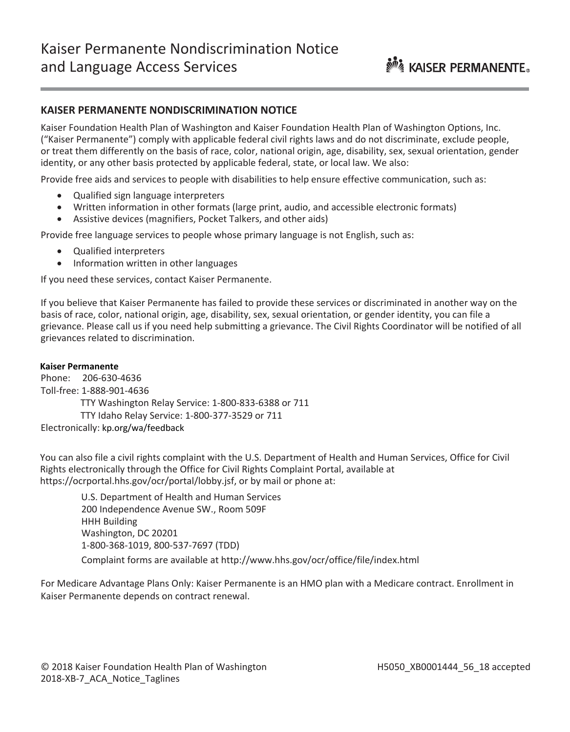## **KAISER PERMANENTE NONDISCRIMINATION NOTICE**

Kaiser Foundation Health Plan of Washington and Kaiser Foundation Health Plan of Washington Options, Inc. ("Kaiser Permanente") comply with applicable federal civil rights laws and do not discriminate, exclude people, or treat them differently on the basis of race, color, national origin, age, disability, sex, sexual orientation, gender identity, or any other basis protected by applicable federal, state, or local law. We also:

Provide free aids and services to people with disabilities to help ensure effective communication, such as:

- Qualified sign language interpreters
- Written information in other formats (large print, audio, and accessible electronic formats)
- Assistive devices (magnifiers, Pocket Talkers, and other aids)

Provide free language services to people whose primary language is not English, such as:

- Qualified interpreters
- Information written in other languages

If you need these services, contact Kaiser Permanente.

If you believe that Kaiser Permanente has failed to provide these services or discriminated in another way on the basis of race, color, national origin, age, disability, sex, sexual orientation, or gender identity, you can file a grievance. Please call us if you need help submitting a grievance. The Civil Rights Coordinator will be notified of all grievances related to discrimination.

#### **Kaiser Permanente**

Phone: 206-630-4636 Toll-free: 1-888-901-4636 TTY Washington Relay Service: 1-800-833-6388 or 711 TTY Idaho Relay Service: 1-800-377-3529 or 711 Electronically: [kp.org/wa/feedback](http://kp.org/wa/feedback)

You can also file a civil rights complaint with the U.S. Department of Health and Human Services, Office for Civil Rights electronically through the Office for Civil Rights Complaint Portal, available at <https://ocrportal.hhs.gov/ocr/portal/lobby.jsf>, or by mail or phone at:

U.S. Department of Health and Human Services 200 Independence Avenue SW., Room 509F HHH Building Washington, DC 20201 1-800-368-1019, 800-537-7697 (TDD) Complaint forms are available at<http://www.hhs.gov/ocr/office/file/index.html>

For Medicare Advantage Plans Only: Kaiser Permanente is an HMO plan with a Medicare contract. Enrollment in Kaiser Permanente depends on contract renewal.